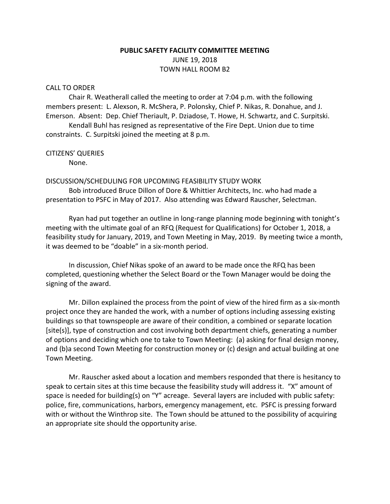# **PUBLIC SAFETY FACILITY COMMITTEE MEETING** JUNE 19, 2018 TOWN HALL ROOM B2

#### CALL TO ORDER

Chair R. Weatherall called the meeting to order at 7:04 p.m. with the following members present: L. Alexson, R. McShera, P. Polonsky, Chief P. Nikas, R. Donahue, and J. Emerson. Absent: Dep. Chief Theriault, P. Dziadose, T. Howe, H. Schwartz, and C. Surpitski.

Kendall Buhl has resigned as representative of the Fire Dept. Union due to time constraints. C. Surpitski joined the meeting at 8 p.m.

# CITIZENS' QUERIES

None.

#### DISCUSSION/SCHEDULING FOR UPCOMING FEASIBILITY STUDY WORK

Bob introduced Bruce Dillon of Dore & Whittier Architects, Inc. who had made a presentation to PSFC in May of 2017. Also attending was Edward Rauscher, Selectman.

Ryan had put together an outline in long-range planning mode beginning with tonight's meeting with the ultimate goal of an RFQ (Request for Qualifications) for October 1, 2018, a feasibility study for January, 2019, and Town Meeting in May, 2019. By meeting twice a month, it was deemed to be "doable" in a six-month period.

In discussion, Chief Nikas spoke of an award to be made once the RFQ has been completed, questioning whether the Select Board or the Town Manager would be doing the signing of the award.

Mr. Dillon explained the process from the point of view of the hired firm as a six-month project once they are handed the work, with a number of options including assessing existing buildings so that townspeople are aware of their condition, a combined or separate location [site(s)], type of construction and cost involving both department chiefs, generating a number of options and deciding which one to take to Town Meeting: (a) asking for final design money, and (b)a second Town Meeting for construction money or (c) design and actual building at one Town Meeting.

Mr. Rauscher asked about a location and members responded that there is hesitancy to speak to certain sites at this time because the feasibility study will address it. "X" amount of space is needed for building(s) on "Y" acreage. Several layers are included with public safety: police, fire, communications, harbors, emergency management, etc. PSFC is pressing forward with or without the Winthrop site. The Town should be attuned to the possibility of acquiring an appropriate site should the opportunity arise.